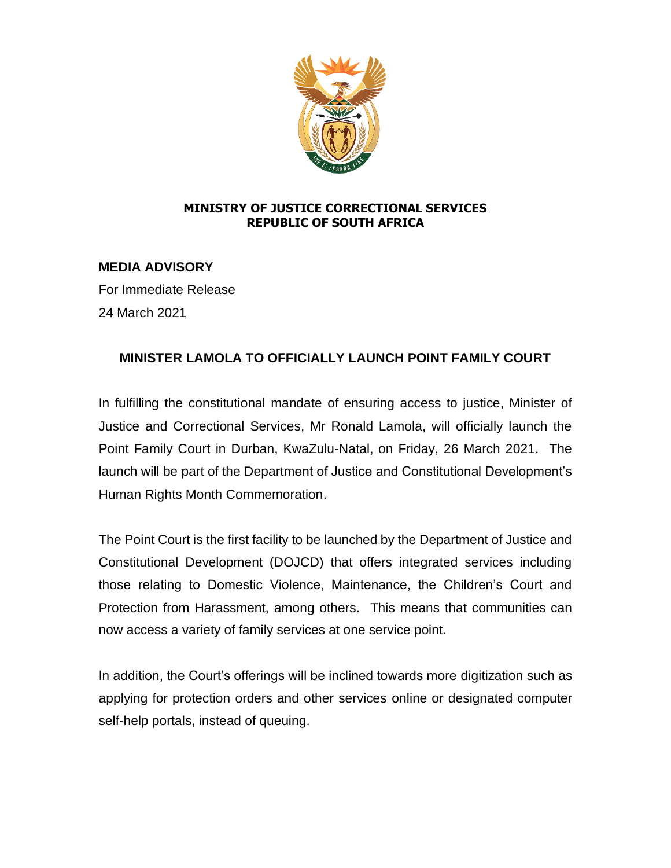

## **MINISTRY OF JUSTICE CORRECTIONAL SERVICES REPUBLIC OF SOUTH AFRICA**

## **MEDIA ADVISORY**

For Immediate Release 24 March 2021

## **MINISTER LAMOLA TO OFFICIALLY LAUNCH POINT FAMILY COURT**

In fulfilling the constitutional mandate of ensuring access to justice, Minister of Justice and Correctional Services, Mr Ronald Lamola, will officially launch the Point Family Court in Durban, KwaZulu-Natal, on Friday, 26 March 2021. The launch will be part of the Department of Justice and Constitutional Development's Human Rights Month Commemoration.

The Point Court is the first facility to be launched by the Department of Justice and Constitutional Development (DOJCD) that offers integrated services including those relating to Domestic Violence, Maintenance, the Children's Court and Protection from Harassment, among others. This means that communities can now access a variety of family services at one service point.

In addition, the Court's offerings will be inclined towards more digitization such as applying for protection orders and other services online or designated computer self-help portals, instead of queuing.